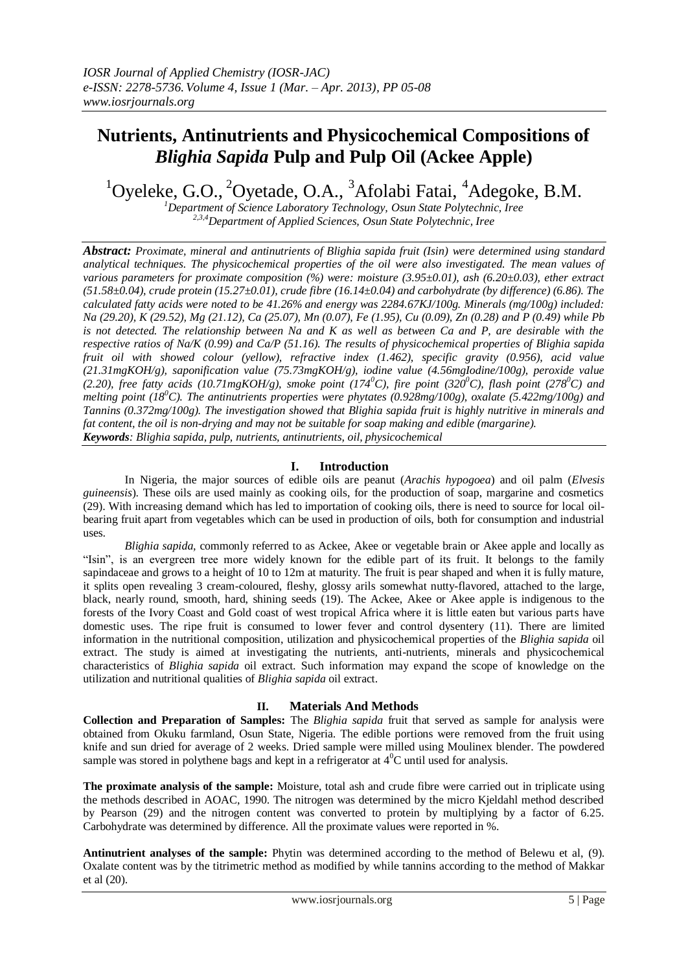# **Nutrients, Antinutrients and Physicochemical Compositions of**  *Blighia Sapida* **Pulp and Pulp Oil (Ackee Apple)**

 $1$ Oyeleke, G.O.,  $2$ Oyetade, O.A.,  $3$ Afolabi Fatai,  $4$ Adegoke, B.M.

*<sup>1</sup>Department of Science Laboratory Technology, Osun State Polytechnic, Iree 2,3,4Department of Applied Sciences, Osun State Polytechnic, Iree*

*Abstract: Proximate, mineral and antinutrients of Blighia sapida fruit (Isin) were determined using standard analytical techniques. The physicochemical properties of the oil were also investigated. The mean values of various parameters for proximate composition (%) were: moisture (3.95±0.01), ash (6.20±0.03), ether extract (51.58±0.04), crude protein (15.27±0.01), crude fibre (16.14±0.04) and carbohydrate (by difference) (6.86). The calculated fatty acids were noted to be 41.26% and energy was 2284.67KJ/100g. Minerals (mg/100g) included: Na (29.20), K (29.52), Mg (21.12), Ca (25.07), Mn (0.07), Fe (1.95), Cu (0.09), Zn (0.28) and P (0.49) while Pb is not detected. The relationship between Na and K as well as between Ca and P, are desirable with the respective ratios of Na/K (0.99) and Ca/P (51.16). The results of physicochemical properties of Blighia sapida fruit oil with showed colour (yellow), refractive index (1.462), specific gravity (0.956), acid value (21.31mgKOH/g), saponification value (75.73mgKOH/g), iodine value (4.56mgIodine/100g), peroxide value (2.20), free fatty acids (10.71mgKOH/g), smoke point (174<sup>0</sup>C), fire point (320<sup>0</sup>C), flash point (278<sup>0</sup>C) and melting point (18<sup>0</sup>C). The antinutrients properties were phytates (0.928mg/100g), oxalate (5.422mg/100g) and Tannins (0.372mg/100g). The investigation showed that Blighia sapida fruit is highly nutritive in minerals and fat content, the oil is non-drying and may not be suitable for soap making and edible (margarine). Keywords: Blighia sapida, pulp, nutrients, antinutrients, oil, physicochemical*

### **I. Introduction**

In Nigeria, the major sources of edible oils are peanut (*Arachis hypogoea*) and oil palm (*Elvesis guineensis*). These oils are used mainly as cooking oils, for the production of soap, margarine and cosmetics (29). With increasing demand which has led to importation of cooking oils, there is need to source for local oilbearing fruit apart from vegetables which can be used in production of oils, both for consumption and industrial uses.

*Blighia sapida,* commonly referred to as Ackee, Akee or vegetable brain or Akee apple and locally as "Isin", is an evergreen tree more widely known for the edible part of its fruit. It belongs to the family sapindaceae and grows to a height of 10 to 12m at maturity. The fruit is pear shaped and when it is fully mature, it splits open revealing 3 cream-coloured, fleshy, glossy arils somewhat nutty-flavored, attached to the large, black, nearly round, smooth, hard, shining seeds (19). The Ackee, Akee or Akee apple is indigenous to the forests of the Ivory Coast and Gold coast of west tropical Africa where it is little eaten but various parts have domestic uses. The ripe fruit is consumed to lower fever and control dysentery (11). There are limited information in the nutritional composition, utilization and physicochemical properties of the *Blighia sapida* oil extract. The study is aimed at investigating the nutrients, anti-nutrients, minerals and physicochemical characteristics of *Blighia sapida* oil extract. Such information may expand the scope of knowledge on the utilization and nutritional qualities of *Blighia sapida* oil extract.

## **II. Materials And Methods**

**Collection and Preparation of Samples:** The *Blighia sapida* fruit that served as sample for analysis were obtained from Okuku farmland, Osun State, Nigeria. The edible portions were removed from the fruit using knife and sun dried for average of 2 weeks. Dried sample were milled using Moulinex blender. The powdered sample was stored in polythene bags and kept in a refrigerator at  $4^{\circ}$ C until used for analysis.

**The proximate analysis of the sample:** Moisture, total ash and crude fibre were carried out in triplicate using the methods described in AOAC, 1990. The nitrogen was determined by the micro Kjeldahl method described by Pearson (29) and the nitrogen content was converted to protein by multiplying by a factor of 6.25. Carbohydrate was determined by difference. All the proximate values were reported in %.

**Antinutrient analyses of the sample:** Phytin was determined according to the method of Belewu et al, (9). Oxalate content was by the titrimetric method as modified by while tannins according to the method of Makkar et al (20).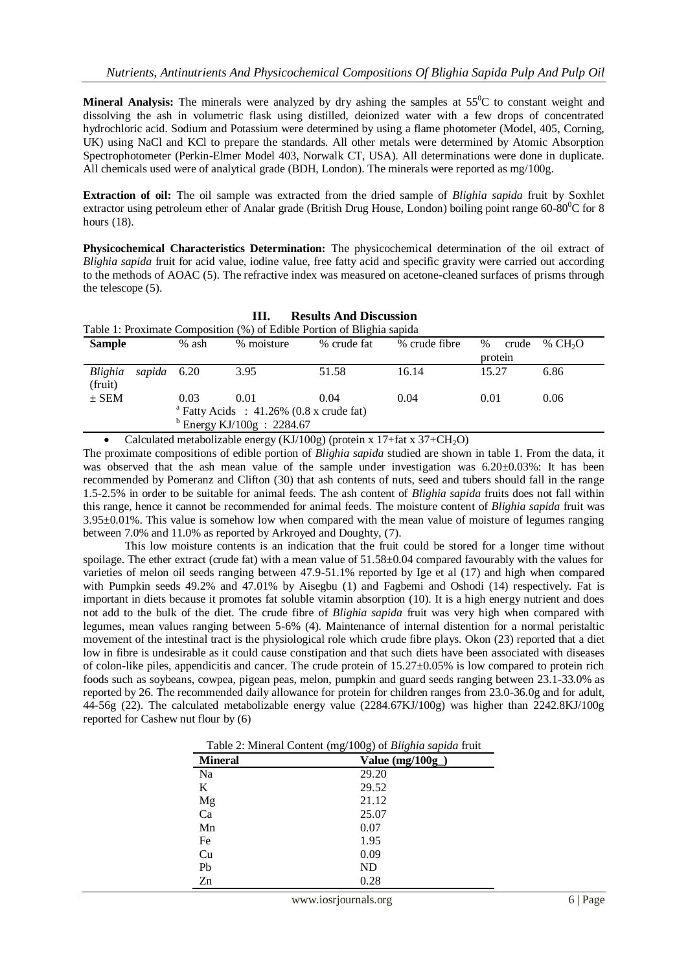**Mineral Analysis:** The minerals were analyzed by dry ashing the samples at 55<sup>o</sup>C to constant weight and dissolving the ash in volumetric flask using distilled, deionized water with a few drops of concentrated hydrochloric acid. Sodium and Potassium were determined by using a flame photometer (Model, 405, Corning, UK) using NaCl and KCl to prepare the standards. All other metals were determined by Atomic Absorption Spectrophotometer (Perkin-Elmer Model 403, Norwalk CT, USA). All determinations were done in duplicate. All chemicals used were of analytical grade (BDH, London). The minerals were reported as mg/100g.

**Extraction of oil:** The oil sample was extracted from the dried sample of *Blighia sapida* fruit by Soxhlet extractor using petroleum ether of Analar grade (British Drug House, London) boiling point range  $60\text{-}80^{\circ}\text{C}$  for 8 hours (18).

**Physicochemical Characteristics Determination:** The physicochemical determination of the oil extract of *Blighia sapida* fruit for acid value, iodine value, free fatty acid and specific gravity were carried out according to the methods of AOAC (5). The refractive index was measured on acetone-cleaned surfaces of prisms through the telescope (5).

| <b>Results And Discussion</b><br>Ш.                                    |                              |       |            |             |               |               |                     |  |  |
|------------------------------------------------------------------------|------------------------------|-------|------------|-------------|---------------|---------------|---------------------|--|--|
| Table 1: Proximate Composition (%) of Edible Portion of Blighia sapida |                              |       |            |             |               |               |                     |  |  |
| <b>Sample</b>                                                          |                              | % ash | % moisture | % crude fat | % crude fibre | $\%$<br>crude | % CH <sub>2</sub> O |  |  |
|                                                                        |                              |       |            |             |               | protein       |                     |  |  |
| Blighia<br>(fruit)                                                     | sapida 6.20                  |       | 3.95       | 51.58       | 16.14         | 15.27         | 6.86                |  |  |
| $\pm$ SEM                                                              |                              | 0.03  | 0.01       | 0.04        | 0.04          | 0.01          | 0.06                |  |  |
| <sup>a</sup> Fatty Acids : $41.26\%$ (0.8 x crude fat)                 |                              |       |            |             |               |               |                     |  |  |
|                                                                        | $b$ Energy KJ/100g : 2284.67 |       |            |             |               |               |                     |  |  |

Calculated metabolizable energy (KJ/100g) (protein x 17+fat x  $37+CH<sub>2</sub>O$ )

The proximate compositions of edible portion of *Blighia sapida* studied are shown in table 1. From the data, it was observed that the ash mean value of the sample under investigation was  $6.20 \pm 0.03\%$ : It has been recommended by Pomeranz and Clifton (30) that ash contents of nuts, seed and tubers should fall in the range 1.5-2.5% in order to be suitable for animal feeds. The ash content of *Blighia sapida* fruits does not fall within this range, hence it cannot be recommended for animal feeds. The moisture content of *Blighia sapida* fruit was 3.95±0.01%. This value is somehow low when compared with the mean value of moisture of legumes ranging between 7.0% and 11.0% as reported by Arkroyed and Doughty, (7).

This low moisture contents is an indication that the fruit could be stored for a longer time without spoilage. The ether extract (crude fat) with a mean value of  $51.58\pm0.04$  compared favourably with the values for varieties of melon oil seeds ranging between 47.9-51.1% reported by Ige et al (17) and high when compared with Pumpkin seeds 49.2% and 47.01% by Aisegbu (1) and Fagbemi and Oshodi (14) respectively. Fat is important in diets because it promotes fat soluble vitamin absorption (10). It is a high energy nutrient and does not add to the bulk of the diet. The crude fibre of *Blighia sapida* fruit was very high when compared with legumes, mean values ranging between 5-6% (4). Maintenance of internal distention for a normal peristaltic movement of the intestinal tract is the physiological role which crude fibre plays. Okon (23) reported that a diet low in fibre is undesirable as it could cause constipation and that such diets have been associated with diseases of colon-like piles, appendicitis and cancer. The crude protein of  $15.27\pm0.05\%$  is low compared to protein rich foods such as soybeans, cowpea, pigean peas, melon, pumpkin and guard seeds ranging between 23.1-33.0% as reported by 26. The recommended daily allowance for protein for children ranges from 23.0-36.0g and for adult, 44-56g (22). The calculated metabolizable energy value (2284.67KJ/100g) was higher than 2242.8KJ/100g reported for Cashew nut flour by (6)

| $\frac{1}{2}$ and $\frac{1}{2}$ . There is a convent $\frac{1}{2}$ and $\frac{1}{2}$ or $\frac{1}{2}$ and $\frac{1}{2}$ and $\frac{1}{2}$ and $\frac{1}{2}$ |                   |  |  |  |
|-------------------------------------------------------------------------------------------------------------------------------------------------------------|-------------------|--|--|--|
| <b>Mineral</b>                                                                                                                                              | Value $(mg/100g)$ |  |  |  |
| Na                                                                                                                                                          | 29.20             |  |  |  |
| K                                                                                                                                                           | 29.52             |  |  |  |
| Mg<br>Ca                                                                                                                                                    | 21.12             |  |  |  |
|                                                                                                                                                             | 25.07             |  |  |  |
| Mn                                                                                                                                                          | 0.07              |  |  |  |
| Fe                                                                                                                                                          | 1.95              |  |  |  |
| Cu                                                                                                                                                          | 0.09              |  |  |  |
| Pb                                                                                                                                                          | ND                |  |  |  |

Table 2: Mineral Content (mg/100g) of *Blighia sapida* fruit

 $Zn$  0.28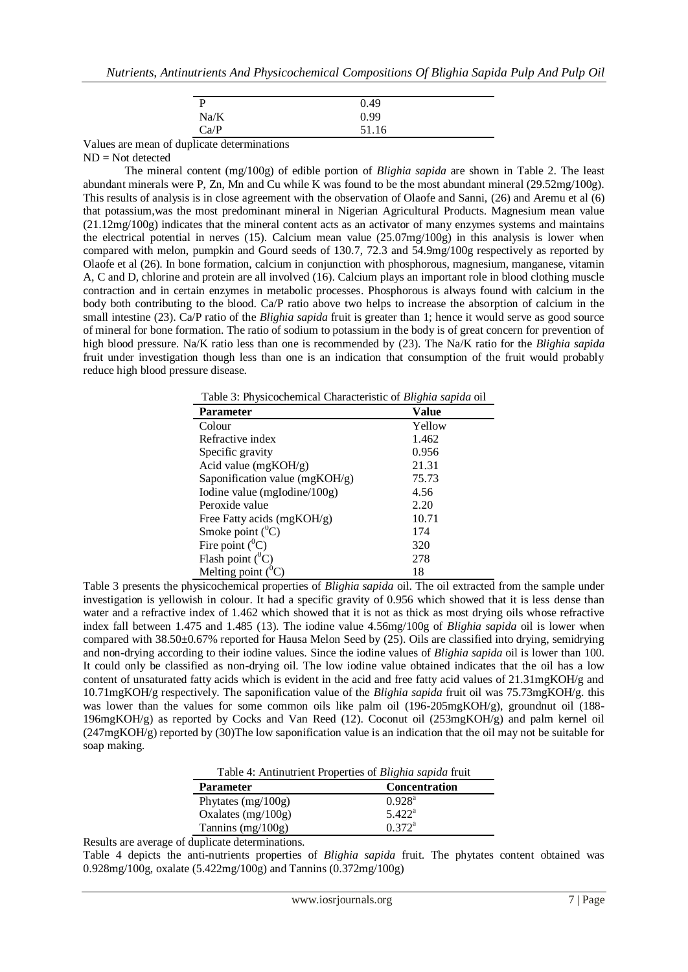| P    | 0.49  |
|------|-------|
| Na/K | 0.99  |
| Ca/P | 51.16 |

Values are mean of duplicate determinations

ND = Not detected

The mineral content (mg/100g) of edible portion of *Blighia sapida* are shown in Table 2. The least abundant minerals were P, Zn, Mn and Cu while K was found to be the most abundant mineral (29.52mg/100g). This results of analysis is in close agreement with the observation of Olaofe and Sanni, (26) and Aremu et al (6) that potassium,was the most predominant mineral in Nigerian Agricultural Products. Magnesium mean value (21.12mg/100g) indicates that the mineral content acts as an activator of many enzymes systems and maintains the electrical potential in nerves (15). Calcium mean value (25.07mg/100g) in this analysis is lower when compared with melon, pumpkin and Gourd seeds of 130.7, 72.3 and 54.9mg/100g respectively as reported by Olaofe et al (26). In bone formation, calcium in conjunction with phosphorous, magnesium, manganese, vitamin A, C and D, chlorine and protein are all involved (16). Calcium plays an important role in blood clothing muscle contraction and in certain enzymes in metabolic processes. Phosphorous is always found with calcium in the body both contributing to the blood. Ca/P ratio above two helps to increase the absorption of calcium in the small intestine (23). Ca/P ratio of the *Blighia sapida* fruit is greater than 1; hence it would serve as good source of mineral for bone formation. The ratio of sodium to potassium in the body is of great concern for prevention of high blood pressure. Na/K ratio less than one is recommended by (23). The Na/K ratio for the *Blighia sapida* fruit under investigation though less than one is an indication that consumption of the fruit would probably reduce high blood pressure disease.

Table 3: Physicochemical Characteristic of *Blighia sapida* oil

| Value  |
|--------|
| Yellow |
| 1.462  |
| 0.956  |
| 21.31  |
| 75.73  |
| 4.56   |
| 2.20   |
| 10.71  |
| 174    |
| 320    |
| 278    |
| 18     |
|        |

Table 3 presents the physicochemical properties of *Blighia sapida* oil. The oil extracted from the sample under investigation is yellowish in colour. It had a specific gravity of 0.956 which showed that it is less dense than water and a refractive index of 1.462 which showed that it is not as thick as most drying oils whose refractive index fall between 1.475 and 1.485 (13). The iodine value 4.56mg/100g of *Blighia sapida* oil is lower when compared with 38.50±0.67% reported for Hausa Melon Seed by (25). Oils are classified into drying, semidrying and non-drying according to their iodine values. Since the iodine values of *Blighia sapida* oil is lower than 100. It could only be classified as non-drying oil. The low iodine value obtained indicates that the oil has a low content of unsaturated fatty acids which is evident in the acid and free fatty acid values of 21.31mgKOH/g and 10.71mgKOH/g respectively. The saponification value of the *Blighia sapida* fruit oil was 75.73mgKOH/g. this was lower than the values for some common oils like palm oil  $(196-205mgKOH/g)$ , groundnut oil  $(188-100)$ 196mgKOH/g) as reported by Cocks and Van Reed (12). Coconut oil (253mgKOH/g) and palm kernel oil (247mgKOH/g) reported by (30)The low saponification value is an indication that the oil may not be suitable for soap making.

| Table 4: Antinutrient Properties of <i>Blighia sapida</i> fruit |                      |  |  |  |
|-----------------------------------------------------------------|----------------------|--|--|--|
| <b>Parameter</b>                                                | <b>Concentration</b> |  |  |  |
| Phytates $(mg/100g)$                                            | $0.928^{\rm a}$      |  |  |  |
| Oxalates $(mg/100g)$                                            | $5.422^{\rm a}$      |  |  |  |
| Tannins $(mg/100g)$                                             | $0.372^a$            |  |  |  |

Results are average of duplicate determinations.

Table 4 depicts the anti-nutrients properties of *Blighia sapida* fruit. The phytates content obtained was 0.928mg/100g, oxalate (5.422mg/100g) and Tannins (0.372mg/100g)